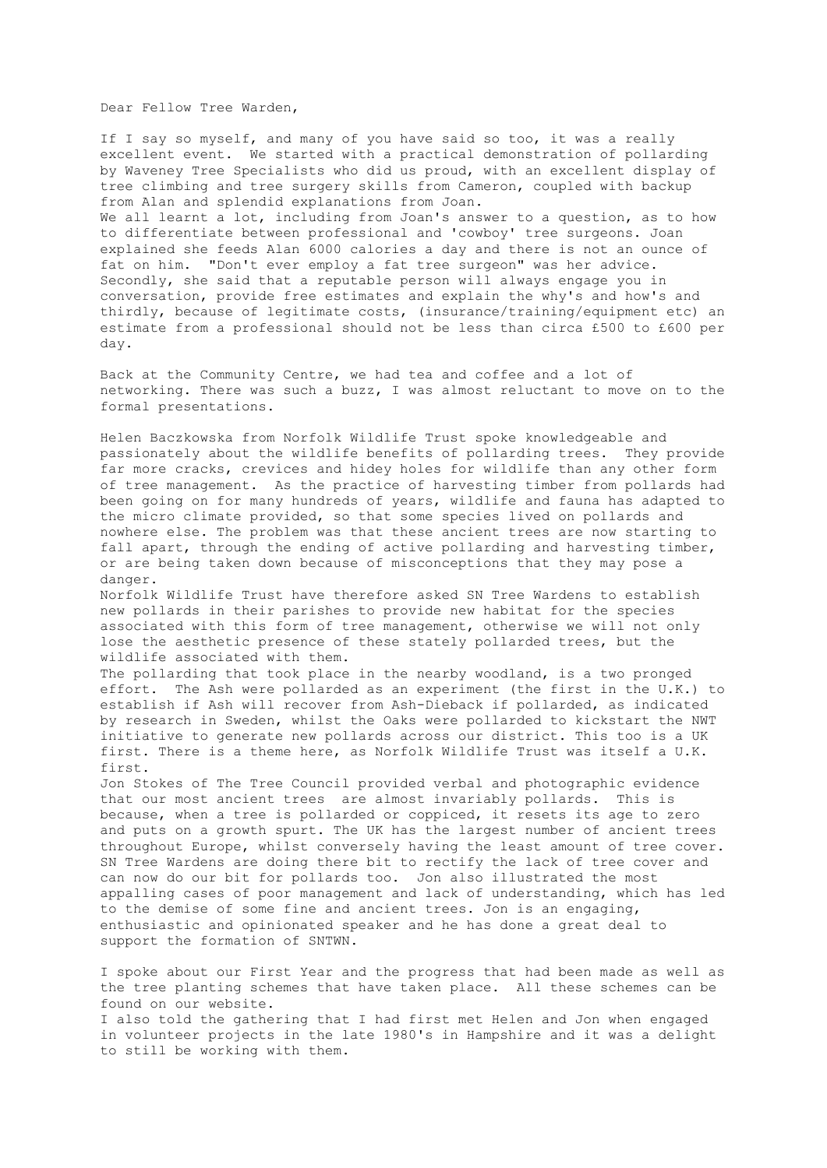Dear Fellow Tree Warden,

If I say so myself, and many of you have said so too, it was a really excellent event. We started with a practical demonstration of pollarding by Waveney Tree Specialists who did us proud, with an excellent display of tree climbing and tree surgery skills from Cameron, coupled with backup from Alan and splendid explanations from Joan.

We all learnt a lot, including from Joan's answer to a question, as to how to differentiate between professional and 'cowboy' tree surgeons. Joan explained she feeds Alan 6000 calories a day and there is not an ounce of fat on him. "Don't ever employ a fat tree surgeon" was her advice. Secondly, she said that a reputable person will always engage you in conversation, provide free estimates and explain the why's and how's and thirdly, because of legitimate costs, (insurance/training/equipment etc) an estimate from a professional should not be less than circa £500 to £600 per day.

Back at the Community Centre, we had tea and coffee and a lot of networking. There was such a buzz, I was almost reluctant to move on to the formal presentations.

Helen Baczkowska from Norfolk Wildlife Trust spoke knowledgeable and passionately about the wildlife benefits of pollarding trees. They provide far more cracks, crevices and hidey holes for wildlife than any other form of tree management. As the practice of harvesting timber from pollards had been going on for many hundreds of years, wildlife and fauna has adapted to the micro climate provided, so that some species lived on pollards and nowhere else. The problem was that these ancient trees are now starting to fall apart, through the ending of active pollarding and harvesting timber, or are being taken down because of misconceptions that they may pose a danger.

Norfolk Wildlife Trust have therefore asked SN Tree Wardens to establish new pollards in their parishes to provide new habitat for the species associated with this form of tree management, otherwise we will not only lose the aesthetic presence of these stately pollarded trees, but the wildlife associated with them.

The pollarding that took place in the nearby woodland, is a two pronged effort. The Ash were pollarded as an experiment (the first in the U.K.) to establish if Ash will recover from Ash-Dieback if pollarded, as indicated by research in Sweden, whilst the Oaks were pollarded to kickstart the NWT initiative to generate new pollards across our district. This too is a UK first. There is a theme here, as Norfolk Wildlife Trust was itself a U.K. first.

Jon Stokes of The Tree Council provided verbal and photographic evidence that our most ancient trees are almost invariably pollards. This is because, when a tree is pollarded or coppiced, it resets its age to zero and puts on a growth spurt. The UK has the largest number of ancient trees throughout Europe, whilst conversely having the least amount of tree cover. SN Tree Wardens are doing there bit to rectify the lack of tree cover and can now do our bit for pollards too. Jon also illustrated the most appalling cases of poor management and lack of understanding, which has led to the demise of some fine and ancient trees. Jon is an engaging, enthusiastic and opinionated speaker and he has done a great deal to support the formation of SNTWN.

I spoke about our First Year and the progress that had been made as well as the tree planting schemes that have taken place. All these schemes can be found on our website.

I also told the gathering that I had first met Helen and Jon when engaged in volunteer projects in the late 1980's in Hampshire and it was a delight to still be working with them.